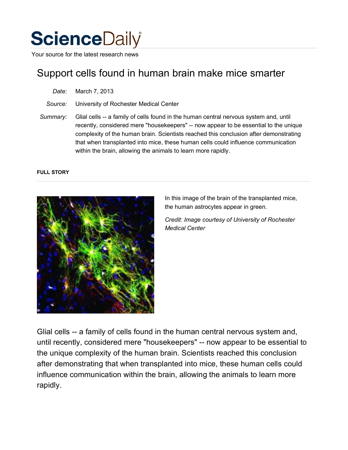

Your source for the latest research news

# Support cells found in human brain make mice smarter

| Date: | March 7, 2013 |  |
|-------|---------------|--|
|-------|---------------|--|

*Source:* University of Rochester Medical Center

*Summary:* Glial cells -- a family of cells found in the human central nervous system and, until recently, considered mere "housekeepers" -- now appear to be essential to the unique complexity of the human brain. Scientists reached this conclusion after demonstrating that when transplanted into mice, these human cells could influence communication within the brain, allowing the animals to learn more rapidly.

#### **FULL STORY**



In this image of the brain of the transplanted mice, the human astrocytes appear in green.

*Credit: Image courtesy of University of Rochester Medical Center*

Glial cells -- a family of cells found in the human central nervous system and, until recently, considered mere "housekeepers" -- now appear to be essential to the unique complexity of the human brain. Scientists reached this conclusion after demonstrating that when transplanted into mice, these human cells could influence communication within the brain, allowing the animals to learn more rapidly.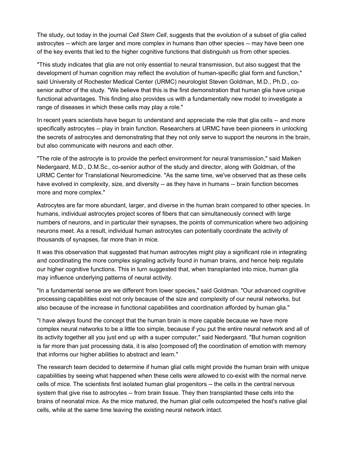The study, out today in the journal *Cell Stem Cell*, suggests that the evolution of a subset of glia called astrocytes -- which are larger and more complex in humans than other species -- may have been one of the key events that led to the higher cognitive functions that distinguish us from other species.

"This study indicates that glia are not only essential to neural transmission, but also suggest that the development of human cognition may reflect the evolution of human-specific glial form and function," said University of Rochester Medical Center (URMC) neurologist Steven Goldman, M.D., Ph.D., cosenior author of the study. "We believe that this is the first demonstration that human glia have unique functional advantages. This finding also provides us with a fundamentally new model to investigate a range of diseases in which these cells may play a role."

In recent years scientists have begun to understand and appreciate the role that glia cells -- and more specifically astrocytes -- play in brain function. Researchers at URMC have been pioneers in unlocking the secrets of astrocytes and demonstrating that they not only serve to support the neurons in the brain, but also communicate with neurons and each other.

"The role of the astrocyte is to provide the perfect environment for neural transmission," said Maiken Nedergaard, M.D., D.M.Sc., co-senior author of the study and director, along with Goldman, of the URMC Center for Translational Neuromedicine. "As the same time, we've observed that as these cells have evolved in complexity, size, and diversity -- as they have in humans -- brain function becomes more and more complex."

Astrocytes are far more abundant, larger, and diverse in the human brain compared to other species. In humans, individual astrocytes project scores of fibers that can simultaneously connect with large numbers of neurons, and in particular their synapses, the points of communication where two adjoining neurons meet. As a result, individual human astrocytes can potentially coordinate the activity of thousands of synapses, far more than in mice.

It was this observation that suggested that human astrocytes might play a significant role in integrating and coordinating the more complex signaling activity found in human brains, and hence help regulate our higher cognitive functions. This in turn suggested that, when transplanted into mice, human glia may influence underlying patterns of neural activity.

"In a fundamental sense are we different from lower species," said Goldman. "Our advanced cognitive processing capabilities exist not only because of the size and complexity of our neural networks, but also because of the increase in functional capabilities and coordination afforded by human glia."

"I have always found the concept that the human brain is more capable because we have more complex neural networks to be a little too simple, because if you put the entire neural network and all of its activity together all you just end up with a super computer," said Nedergaard. "But human cognition is far more than just processing data, it is also [composed of] the coordination of emotion with memory that informs our higher abilities to abstract and learn."

The research team decided to determine if human glial cells might provide the human brain with unique capabilities by seeing what happened when these cells were allowed to co-exist with the normal nerve cells of mice. The scientists first isolated human glial progenitors -- the cells in the central nervous system that give rise to astrocytes -- from brain tissue. They then transplanted these cells into the brains of neonatal mice. As the mice matured, the human glial cells outcompeted the host's native glial cells, while at the same time leaving the existing neural network intact.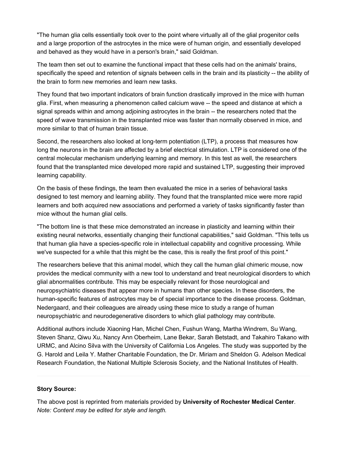"The human glia cells essentially took over to the point where virtually all of the glial progenitor cells and a large proportion of the astrocytes in the mice were of human origin, and essentially developed and behaved as they would have in a person's brain," said Goldman.

The team then set out to examine the functional impact that these cells had on the animals' brains, specifically the speed and retention of signals between cells in the brain and its plasticity -- the ability of the brain to form new memories and learn new tasks.

They found that two important indicators of brain function drastically improved in the mice with human glia. First, when measuring a phenomenon called calcium wave -- the speed and distance at which a signal spreads within and among adjoining astrocytes in the brain -- the researchers noted that the speed of wave transmission in the transplanted mice was faster than normally observed in mice, and more similar to that of human brain tissue.

Second, the researchers also looked at long-term potentiation (LTP), a process that measures how long the neurons in the brain are affected by a brief electrical stimulation. LTP is considered one of the central molecular mechanism underlying learning and memory. In this test as well, the researchers found that the transplanted mice developed more rapid and sustained LTP, suggesting their improved learning capability.

On the basis of these findings, the team then evaluated the mice in a series of behavioral tasks designed to test memory and learning ability. They found that the transplanted mice were more rapid learners and both acquired new associations and performed a variety of tasks significantly faster than mice without the human glial cells.

"The bottom line is that these mice demonstrated an increase in plasticity and learning within their existing neural networks, essentially changing their functional capabilities," said Goldman. "This tells us that human glia have a species-specific role in intellectual capability and cognitive processing. While we've suspected for a while that this might be the case, this is really the first proof of this point."

The researchers believe that this animal model, which they call the human glial chimeric mouse, now provides the medical community with a new tool to understand and treat neurological disorders to which glial abnormalities contribute. This may be especially relevant for those neurological and neuropsychiatric diseases that appear more in humans than other species. In these disorders, the human-specific features of astrocytes may be of special importance to the disease process. Goldman, Nedergaard, and their colleagues are already using these mice to study a range of human neuropsychiatric and neurodegenerative disorders to which glial pathology may contribute.

Additional authors include Xiaoning Han, Michel Chen, Fushun Wang, Martha Windrem, Su Wang, Steven Shanz, Qiwu Xu, Nancy Ann Oberheim, Lane Bekar, Sarah Betstadt, and Takahiro Takano with URMC, and Alcino Silva with the University of California Los Angeles. The study was supported by the G. Harold and Leila Y. Mather Charitable Foundation, the Dr. Miriam and Sheldon G. Adelson Medical Research Foundation, the National Multiple Sclerosis Society, and the National Institutes of Health.

### **Story Source:**

The above post is reprinted from materials provided by **University of Rochester Medical Center**. *Note: Content may be edited for style and length.*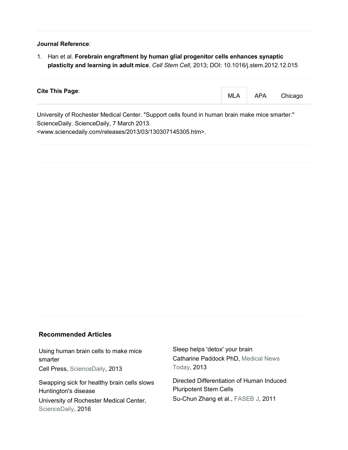#### **Journal Reference**:

1. Han et al. **Forebrain engraftment by human glial progenitor cells enhances synaptic plasticity and learning in adult mice**. *Cell Stem Cell*, 2013; DOI: 10.1016/j.stem.2012.12.015

| <b>Cite This Page:</b>                                                                          |  | MLA   APA Chicago |
|-------------------------------------------------------------------------------------------------|--|-------------------|
| I Iniversity of Rochester Medical Center "Support cells found in human brain make mice smarter" |  |                   |

University of Rochester Medical Center. "Support cells found in human brain make mice smarter." ScienceDaily. ScienceDaily, 7 March 2013. <www.sciencedaily.com/releases/2013/03/130307145305.htm>.

## **Recommended Articles**

Using human brain cells to make mice smarter Cell Press, ScienceDaily, 2013

Swapping sick for healthy brain cells slows Huntington's disease University of Rochester Medical Center, ScienceDaily, 2016

Sleep helps 'detox' your brain Catharine Paddock PhD, Medical News Today, 2013

Directed Differentiation of Human Induced Pluripotent Stem Cells Su-Chun Zhang et al., FASEB J, 2011